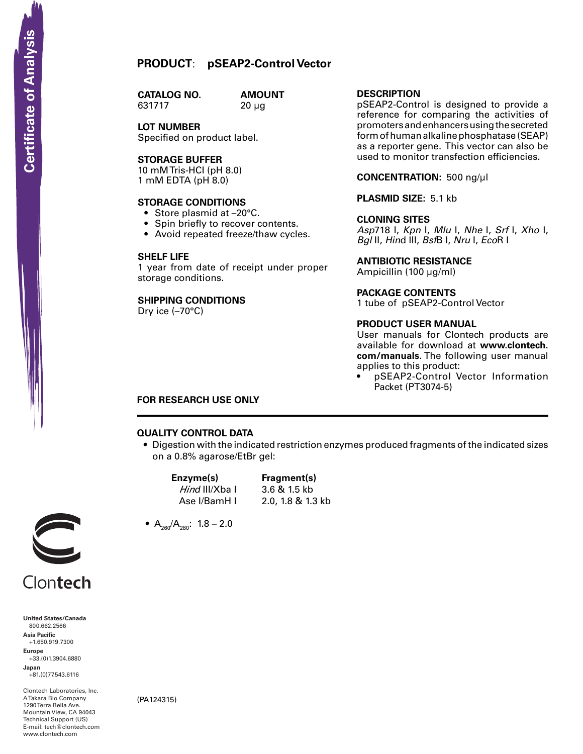**CATALOG NO.** 631717 20 µg

**AMOUNT** 

**LOT NUMBER** Specified on product label.

# **Storage Buffer**

10 mM Tris-HCI (pH 8.0) 1 mM EDTA (pH 8.0)

## **STORAGE CONDITIONS**

- Store plasmid at -20°C.
- Spin briefly to recover contents.
- Avoid repeated freeze/thaw cycles.

#### **SHELF LIFE**

1 year from date of receipt under proper storage conditions.

# **SHIPPING CONDITIONS**

Dry ice (–70°C)

# **Description**

pSEAP2-Control is designed to provide a reference for comparing the activities of promoters and enhancers using the secreted form of human alkaline phosphatase (SEAP) as a reporter gene. This vector can also be used to monitor transfection efficiencies.

# **Concentration:** 500 ng/µl

#### **Plasmid Size:** 5.1 kb

#### **Cloning Sites**

*Asp*718 I, *Kpn* I, *Mlu* I, *Nhe* I, *Srf* I, *Xho* I, *Bgl* II, *Hin*d III, *Bsf*B I, *Nru* I, *Eco*R I

#### **Antibiotic Resistance**

Ampicillin (100 µg/ml)

#### **Package contents**

1 tube of pSEAP2-Control Vector

#### **product user manual**

User manuals for Clontech products are available for download at **www.clontech. com/manuals**. The following user manual applies to this product:

pSEAP2-Control Vector Information Packet (PT3074-5)

# **FOR RESEARCH USE ONLY**

# **QUALITY CONTROL DATA**

• Digestion with the indicated restriction enzymes produced fragments of the indicated sizes on a 0.8% agarose/EtBr gel:

 **Enzyme(s) Fragment(s)** *Hind* III/Xba I 3.6 & 1.5 kb Ase I/BamH I 2.0, 1.8 & 1.3 kb

•  $A_{260}/A_{280}$ : 1.8 – 2.0



Clontech

**United States/Canada** 800.662.2566 **Asia Pacific** +1.650.919.7300 **Europe** +33.(0)1.3904.6880 **Japan SCRIPT CONTREST**<br>
United States/Cana<br>
800.662.2566<br>
Asia Pacific<br>
+1.650.919.7300<br>
Happer<br>
+33.(0)1.3904.688<br>
Japan<br>
-81.(0)77.543.6116<br>
ATakara Bio Compa<br>
Mountain View, CA<br>
Hechnical Support (<br>
Hechnical Support (<br>
Hech

+81.(0)77.543.6116

Clontech Laboratories, Inc. A Takara Bio Company 1290 Terra Bella Ave. Mountain View, CA 94043 Technical Support (US) E-mail: tech@clontech.com<br>www.clontech.com

(PA124315)